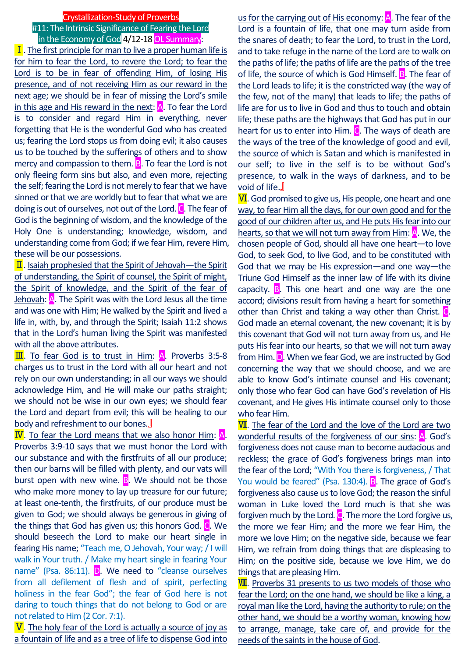#### Crystallization-Study of Proverbs #11: The Intrinsic Significance of Fearing the Lord

in the Economy of God 4/12-18 OL Summary:

 $I$ . The first principle for man to live a proper human life is for him to fear the Lord, to revere the Lord; to fear the Lord is to be in fear of offending Him, of losing His presence, and of not receiving Him as our reward in the next age; we should be in fear of missing the Lord's smile in this age and His reward in the next: A. To fear the Lord is to consider and regard Him in everything, never forgetting that He is the wonderful God who has created us; fearing the Lord stops us from doing evil; it also causes us to be touched by the sufferings of others and to show mercy and compassion to them.  $\overline{B}$ . To fear the Lord is not only fleeing form sins but also, and even more, rejecting the self; fearing the Lord is not merely to fear that we have sinned or that we are worldly but to fear that what we are doing is out of ourselves, not out of the Lord. C. The fear of God is the beginning of wisdom, and the knowledge of the Holy One is understanding; knowledge, wisdom, and understanding come from God; if we fear Him, revere Him, these will be our possessions.

Ⅱ. Isaiah prophesied that the Spirit of Jehovah—the Spirit of understanding, the Spirit of counsel, the Spirit of might, the Spirit of knowledge, and the Spirit of the fear of Jehovah:  $A$ . The Spirit was with the Lord Jesus all the time and was one with Him; He walked by the Spirit and lived a life in, with, by, and through the Spirit; Isaiah 11:2 shows that in the Lord's human living the Spirit was manifested with all the above attributes.

Ⅲ. To fear God is to trust in Him: A. Proverbs 3:5-8 charges us to trust in the Lord with all our heart and not rely on our own understanding; in all our ways we should acknowledge Him, and He will make our paths straight; we should not be wise in our own eyes; we should fear the Lord and depart from evil; this will be healing to our body and refreshment to our bones.』

**IV**. To fear the Lord means that we also honor Him: A. Proverbs 3:9-10 says that we must honor the Lord with our substance and with the firstfruits of all our produce; then our barns will be filled with plenty, and our vats will burst open with new wine.  $B$ . We should not be those who make more money to lay up treasure for our future; at least one-tenth, the firstfruits, of our produce must be given to God; we should always be generous in giving of the things that God has given us; this honors God.  $\mathbb C$ . We should beseech the Lord to make our heart single in fearing His name; "Teach me, O Jehovah, Your way; / I will walk in Your truth. / Make my heart single in fearing Your name" (Psa. 86:11). **D.** We need to "cleanse ourselves from all defilement of flesh and of spirit, perfecting holiness in the fear God"; the fear of God here is not daring to touch things that do not belong to God or are not related to Him (2 Cor. 7:1).

V. The holy fear of the Lord is actually a source of joy as a fountain of life and as a tree of life to dispense God into us for the carrying out of His economy: A. The fear of the Lord is a fountain of life, that one may turn aside from the snares of death; to fear the Lord, to trust in the Lord, and to take refuge in the name of the Lord are to walk on the paths of life; the paths of life are the paths of the tree of life, the source of which is God Himself. B. The fear of the Lord leads to life; it is the constricted way (the way of the few, not of the many) that leads to life; the paths of life are for us to live in God and thus to touch and obtain life; these paths are the highways that God has put in our heart for us to enter into Him. C. The ways of death are the ways of the tree of the knowledge of good and evil, the source of which is Satan and which is manifested in our self; to live in the self is to be without God's presence, to walk in the ways of darkness, and to be void of life.』

**VI**. God promised to give us, His people, one heart and one way, to fear Him all the days, for our own good and for the good of our children after us, and He puts His fear into our hearts, so that we will not turn away from Him: A. We, the chosen people of God, should all have one heart—to love God, to seek God, to live God, and to be constituted with God that we may be His expression—and one way—the Triune God Himself as the inner law of life with its divine capacity.  $\overline{B}$ . This one heart and one way are the one accord; divisions result from having a heart for something other than Christ and taking a way other than Christ.  $\mathbf{C}$ . God made an eternal covenant, the new covenant; it is by this covenant that God will not turn away from us, and He puts His fear into our hearts, so that we will not turn away from Him. D. When we fear God, we are instructed by God concerning the way that we should choose, and we are able to know God's intimate counsel and His covenant; only those who fear God can have God's revelation of His covenant, and He gives His intimate counsel only to those who fear Him.

**VII.** The fear of the Lord and the love of the Lord are two wonderful results of the forgiveness of our sins: A. God's forgiveness does not cause man to become audacious and reckless; the grace of God's forgiveness brings man into the fear of the Lord; "With You there is forgiveness, / That You would be feared" (Psa. 130:4). B. The grace of God's forgiveness also cause us to love God; the reason the sinful woman in Luke loved the Lord much is that she was forgiven much by the Lord.  $C$ . The more the Lord forgive us, the more we fear Him; and the more we fear Him, the more we love Him; on the negative side, because we fear Him, we refrain from doing things that are displeasing to Him; on the positive side, because we love Him, we do things that are pleasing Him.

**WI.** Proverbs 31 presents to us two models of those who fear the Lord; on the one hand, we should be like a king, a royal man like the Lord, having the authority to rule; on the other hand, we should be a worthy woman, knowing how to arrange, manage, take care of, and provide for the needs of the saints in the house of God.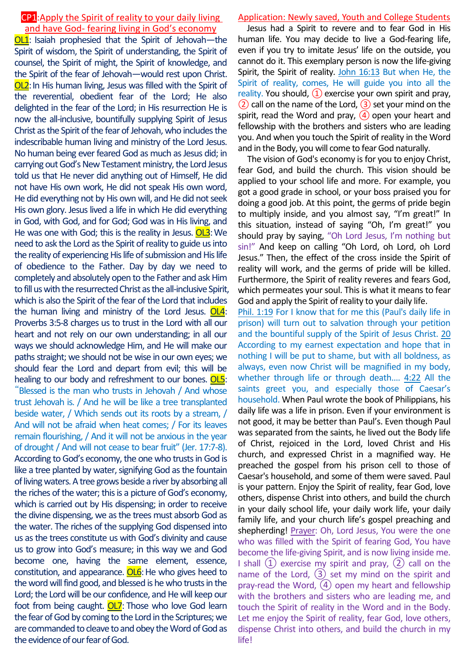# CP1:Apply the Spirit of reality to your daily living and have God- fearing living in God's economy

OL1: Isaiah prophesied that the Spirit of Jehovah—the Spirit of wisdom, the Spirit of understanding, the Spirit of counsel, the Spirit of might, the Spirit of knowledge, and the Spirit of the fear of Jehovah—would rest upon Christ. **OL2**: In His human living, Jesus was filled with the Spirit of the reverential, obedient fear of the Lord; He also delighted in the fear of the Lord; in His resurrection He is now the all-inclusive, bountifully supplying Spirit of Jesus Christ as the Spirit of the fear of Jehovah, who includes the indescribable human living and ministry of the Lord Jesus. No human being ever feared God as much as Jesus did; in carrying out God's New Testament ministry, the Lord Jesus told us that He never did anything out of Himself, He did not have His own work, He did not speak His own word, He did everything not by His own will, and He did not seek His own glory. Jesus lived a life in which He did everything in God, with God, and for God; God was in His living, and He was one with God; this is the reality in Jesus. OL3: We need to ask the Lord as the Spirit of reality to guide us into the reality of experiencing His life of submission and His life of obedience to the Father. Day by day we need to completely and absolutely open to the Father and ask Him to fill us with the resurrected Christ as the all-inclusive Spirit, which is also the Spirit of the fear of the Lord that includes the human living and ministry of the Lord Jesus. OL4: Proverbs 3:5-8 charges us to trust in the Lord with all our heart and not rely on our own understanding; in all our ways we should acknowledge Him, and He will make our paths straight; we should not be wise in our own eyes; we should fear the Lord and depart from evil; this will be healing to our body and refreshment to our bones. OL5: "Blessed is the man who trusts in Jehovah / And whose trust Jehovah is. / And he will be like a tree transplanted beside water, / Which sends out its roots by a stream, / And will not be afraid when heat comes; / For its leaves remain flourishing, / And it will not be anxious in the year of drought / And will not cease to bear fruit" (Jer. 17:7-8). According to God's economy, the one who trusts in God is like a tree planted by water, signifying God as the fountain of living waters. A tree grows beside a river by absorbing all the riches of the water; this is a picture of God's economy, which is carried out by His dispensing; in order to receive the divine dispensing, we as the trees must absorb God as the water. The riches of the supplying God dispensed into us as the trees constitute us with God's divinity and cause us to grow into God's measure; in this way we and God become one, having the same element, essence, constitution, and appearance. OL6: He who gives heed to the word will find good, and blessed is he who trusts in the Lord; the Lord will be our confidence, and He will keep our foot from being caught. OL7: Those who love God learn the fear of God by coming to the Lord in the Scriptures; we are commanded to cleave to and obey the Word of God as the evidence of our fear of God.

#### Application: Newly saved, Youth and College Students

Jesus had a Spirit to revere and to fear God in His human life. You may decide to live a God-fearing life, even if you try to imitate Jesus' life on the outside, you cannot do it. This exemplary person is now the life-giving Spirit, the Spirit of reality. John 16:13 But when He, the Spirit of reality, comes, He will guide you into all the reality. You should,  $(1)$  exercise your own spirit and pray,  $(2)$  call on the name of the Lord,  $(3)$  set your mind on the spirit, read the Word and pray,  $\left(4\right)$  open your heart and fellowship with the brothers and sisters who are leading you. And when you touch the Spirit of reality in the Word and in the Body, you will come to fear God naturally.

The vision of God's economy is for you to enjoy Christ, fear God, and build the church. This vision should be applied to your school life and more. For example, you got a good grade in school, or your boss praised you for doing a good job. At this point, the germs of pride begin to multiply inside, and you almost say, "I'm great!" In this situation, instead of saying "Oh, I'm great!" you should pray by saying, "Oh Lord Jesus, I'm nothing but sin!" And keep on calling "Oh Lord, oh Lord, oh Lord Jesus." Then, the effect of the cross inside the Spirit of reality will work, and the germs of pride will be killed. Furthermore, the Spirit of reality reveres and fears God, which permeates your soul. This is what it means to fear God and apply the Spirit of reality to your daily life.

Phil. 1:19 For I know that for me this (Paul's daily life in prison) will turn out to salvation through your petition and the bountiful supply of the Spirit of Jesus Christ. 20 According to my earnest expectation and hope that in nothing I will be put to shame, but with all boldness, as always, even now Christ will be magnified in my body, whether through life or through death.… 4:22 All the saints greet you, and especially those of Caesar's household. When Paul wrote the book of Philippians, his daily life was a life in prison. Even if your environment is not good, it may be better than Paul's. Even though Paul was separated from the saints, he lived out the Body life of Christ, rejoiced in the Lord, loved Christ and His church, and expressed Christ in a magnified way. He preached the gospel from his prison cell to those of Caesar's household, and some of them were saved. Paul is your pattern. Enjoy the Spirit of reality, fear God, love others, dispense Christ into others, and build the church in your daily school life, your daily work life, your daily family life, and your church life's gospel preaching and shepherding! Prayer: Oh, Lord Jesus, You were the one who was filled with the Spirit of fearing God, You have become the life-giving Spirit, and is now living inside me. I shall  $(1)$  exercise my spirit and pray,  $(2)$  call on the name of the Lord,  $(3)$  set my mind on the spirit and pray-read the Word,  $(4)$  open my heart and fellowship with the brothers and sisters who are leading me, and touch the Spirit of reality in the Word and in the Body. Let me enjoy the Spirit of reality, fear God, love others, dispense Christ into others, and build the church in my life!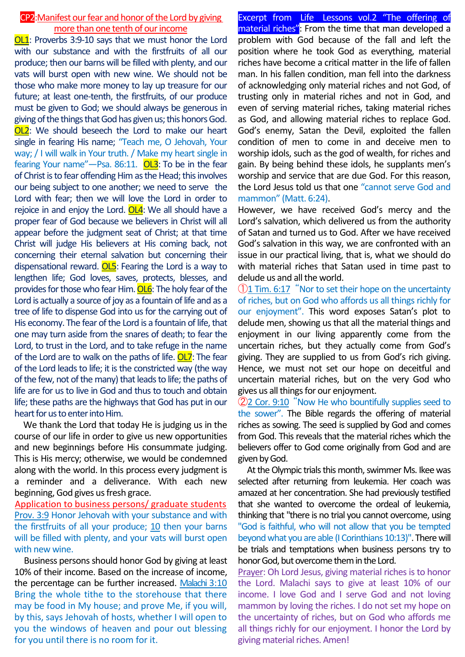# CP2:Manifest our fear and honor of the Lord by giving more than one tenth of our income

OL1: Proverbs 3:9-10 says that we must honor the Lord with our substance and with the firstfruits of all our produce; then our barns will be filled with plenty, and our vats will burst open with new wine. We should not be those who make more money to lay up treasure for our future; at least one-tenth, the firstfruits, of our produce must be given to God; we should always be generous in giving of the things that God has given us; this honors God. **OL2**: We should beseech the Lord to make our heart single in fearing His name; "Teach me, O Jehovah, Your way; / I will walk in Your truth. / Make my heart single in fearing Your name"—Psa. 86:11. OL3: To be in the fear of Christ is to fear offending Him as the Head; this involves our being subject to one another; we need to serve the Lord with fear; then we will love the Lord in order to rejoice in and enjoy the Lord.  $OL4$ : We all should have a proper fear of God because we believers in Christ will all appear before the judgment seat of Christ; at that time Christ will judge His believers at His coming back, not concerning their eternal salvation but concerning their dispensational reward. OL5: Fearing the Lord is a way to lengthen life; God loves, saves, protects, blesses, and provides for those who fear Him. OL6: The holy fear of the Lord is actually a source of joy as a fountain of life and as a tree of life to dispense God into us for the carrying out of His economy. The fear of the Lord is a fountain of life, that one may turn aside from the snares of death; to fear the Lord, to trust in the Lord, and to take refuge in the name of the Lord are to walk on the paths of life.  $OL7$ : The fear of the Lord leads to life; it is the constricted way (the way of the few, not of the many) that leads to life; the paths of life are for us to live in God and thus to touch and obtain life; these paths are the highways that God has put in our heart for us to enter into Him.

We thank the Lord that today He is judging us in the course of our life in order to give us new opportunities and new beginnings before His consummate judging. This is His mercy; otherwise, we would be condemned along with the world. In this process every judgment is a reminder and a deliverance. With each new beginning, God gives us fresh grace.

Application to business persons/ graduate students Prov. 3:9 Honor Jehovah with your substance and with the firstfruits of all your produce; 10 then your barns will be filled with plenty, and your vats will burst open with new wine.

Business persons should honor God by giving at least 10% of their income. Based on the increase of income, the percentage can be further increased. Malachi 3:10 Bring the whole tithe to the storehouse that there may be food in My house; and prove Me, if you will, by this, says Jehovah of hosts, whether I will open to you the windows of heaven and pour out blessing for you until there is no room for it.

Excerpt from Life Lessons vol.2 "The offering of

material riches": From the time that man developed a problem with God because of the fall and left the position where he took God as everything, material riches have become a critical matter in the life of fallen man. In his fallen condition, man fell into the darkness of acknowledging only material riches and not God, of trusting only in material riches and not in God, and even of serving material riches, taking material riches as God, and allowing material riches to replace God. God's enemy, Satan the Devil, exploited the fallen condition of men to come in and deceive men to worship idols, such as the god of wealth, for riches and gain. By being behind these idols, he supplants men's worship and service that are due God. For this reason, the Lord Jesus told us that one "cannot serve God and mammon" (Matt. 6:24).

However, we have received God's mercy and the Lord's salvation, which delivered us from the authority of Satan and turned us to God. After we have received God's salvation in this way, we are confronted with an issue in our practical living, that is, what we should do with material riches that Satan used in time past to delude us and all the world.

①1 Tim. 6:17 "Nor to set their hope on the uncertainty of riches, but on God who affords us all things richly for our enjoyment". This word exposes Satan's plot to delude men, showing us that all the material things and enjoyment in our living apparently come from the uncertain riches, but they actually come from God's giving. They are supplied to us from God's rich giving. Hence, we must not set our hope on deceitful and uncertain material riches, but on the very God who gives us all things for our enjoyment.

②2 Cor. 9:10 "Now He who bountifully supplies seed to the sower". The Bible regards the offering of material riches as sowing. The seed is supplied by God and comes from God. This reveals that the material riches which the believers offer to God come originally from God and are given by God.

At the Olympic trials this month, swimmer Ms. Ikee was selected after returning from leukemia. Her coach was amazed at her concentration. She had previously testified that she wanted to overcome the ordeal of leukemia, thinking that "there is no trial you cannot overcome, using "God is faithful, who will not allow that you be tempted beyond what you are able (I Corinthians 10:13)". There will be trials and temptations when business persons try to honor God, but overcome them in the Lord.

Prayer: Oh Lord Jesus, giving material riches is to honor the Lord. Malachi says to give at least 10% of our income. I love God and I serve God and not loving mammon by loving the riches. I do not set my hope on the uncertainty of riches, but on God who affords me all things richly for our enjoyment. I honor the Lord by giving material riches. Amen!